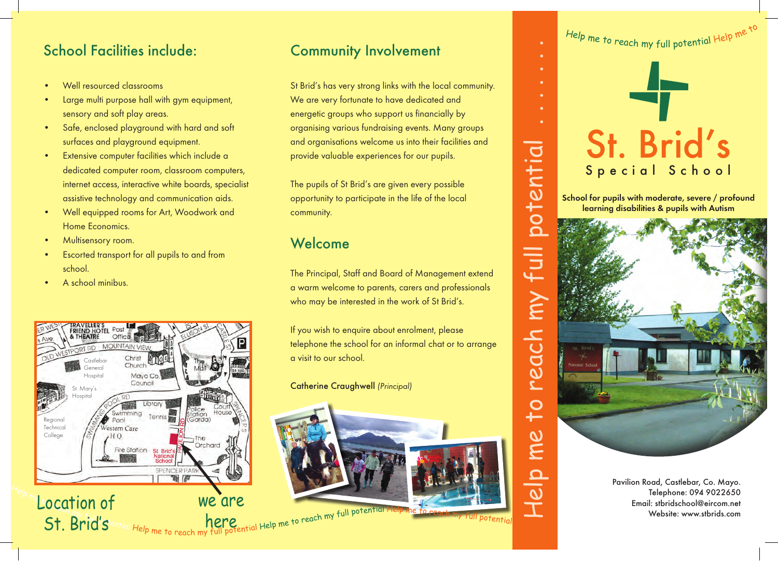# School Facilities include:

- Well resourced classrooms
- Large multi purpose hall with gym equipment, sensory and soft play areas.
- • Safe, enclosed playground with hard and soft surfaces and playground equipment.
- • Extensive computer facilities which include a dedicated computer room, classroom computers, internet access, interactive white boards, specialist assistive technology and communication aids.
- Well equipped rooms for Art, Woodwork and Home Economics.
- Multisensory room.
- Escorted transport for all pupils to and from school.
- A school minibus.



## Community Involvement

St Brid's has very strong links with the local community. We are very fortunate to have dedicated and energetic groups who support us financially by organising various fundraising events. Many groups and organisations welcome us into their facilities and provide valuable experiences for our pupils.

The pupils of St Brid's are given every possible opportunity to participate in the life of the local community.

## Welcome

The Principal, Staff and Board of Management extend a warm welcome to parents, carers and professionals who may be interested in the work of St Brid's.

If you wish to enquire about enrolment, please telephone the school for an informal chat or to arrange a visit to our school.

Catherine Craughwell *(Principal)*





School for pupils with moderate, severe / profound learning disabilities & pupils with Autism



Pavilion Road, Castlebar, Co. Mayo. Telephone: 094 9022650 Email: stbridschool@eircom.net Website: www.stbrids.com

Help